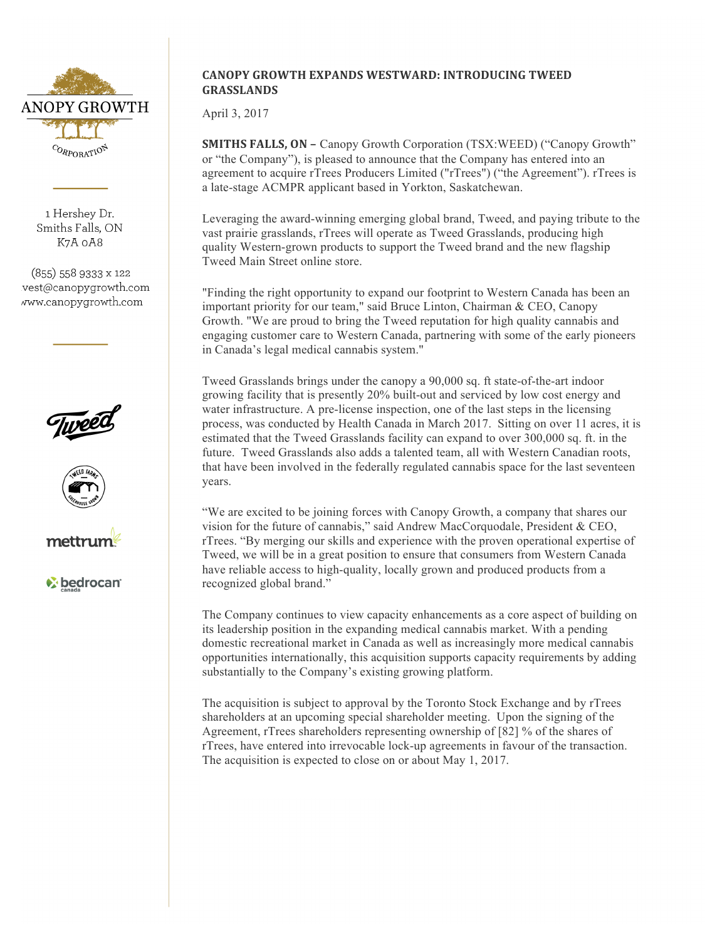

1 Hershev Dr. Smiths Falls, ON K7A 0A8

 $(855)$  558 9333 x 122 vest@canopygrowth.com www.canopygrowth.com







*V* bedrocan

## **CANOPY GROWTH EXPANDS WESTWARD: INTRODUCING TWEED GRASSLANDS**

April 3, 2017

**SMITHS FALLS, ON – Canopy Growth Corporation (TSX:WEED) ("Canopy Growth"** or "the Company"), is pleased to announce that the Company has entered into an agreement to acquire rTrees Producers Limited ("rTrees") ("the Agreement"). rTrees is a late-stage ACMPR applicant based in Yorkton, Saskatchewan.

Leveraging the award-winning emerging global brand, Tweed, and paying tribute to the vast prairie grasslands, rTrees will operate as Tweed Grasslands, producing high quality Western-grown products to support the Tweed brand and the new flagship Tweed Main Street online store.

"Finding the right opportunity to expand our footprint to Western Canada has been an important priority for our team," said Bruce Linton, Chairman & CEO, Canopy Growth. "We are proud to bring the Tweed reputation for high quality cannabis and engaging customer care to Western Canada, partnering with some of the early pioneers in Canada's legal medical cannabis system."

Tweed Grasslands brings under the canopy a 90,000 sq. ft state-of-the-art indoor growing facility that is presently 20% built-out and serviced by low cost energy and water infrastructure. A pre-license inspection, one of the last steps in the licensing process, was conducted by Health Canada in March 2017. Sitting on over 11 acres, it is estimated that the Tweed Grasslands facility can expand to over 300,000 sq. ft. in the future. Tweed Grasslands also adds a talented team, all with Western Canadian roots, that have been involved in the federally regulated cannabis space for the last seventeen years.

"We are excited to be joining forces with Canopy Growth, a company that shares our vision for the future of cannabis," said Andrew MacCorquodale, President & CEO, rTrees. "By merging our skills and experience with the proven operational expertise of Tweed, we will be in a great position to ensure that consumers from Western Canada have reliable access to high-quality, locally grown and produced products from a recognized global brand."

The Company continues to view capacity enhancements as a core aspect of building on its leadership position in the expanding medical cannabis market. With a pending domestic recreational market in Canada as well as increasingly more medical cannabis opportunities internationally, this acquisition supports capacity requirements by adding substantially to the Company's existing growing platform.

The acquisition is subject to approval by the Toronto Stock Exchange and by rTrees shareholders at an upcoming special shareholder meeting. Upon the signing of the Agreement, rTrees shareholders representing ownership of [82] % of the shares of rTrees, have entered into irrevocable lock-up agreements in favour of the transaction. The acquisition is expected to close on or about May 1, 2017.